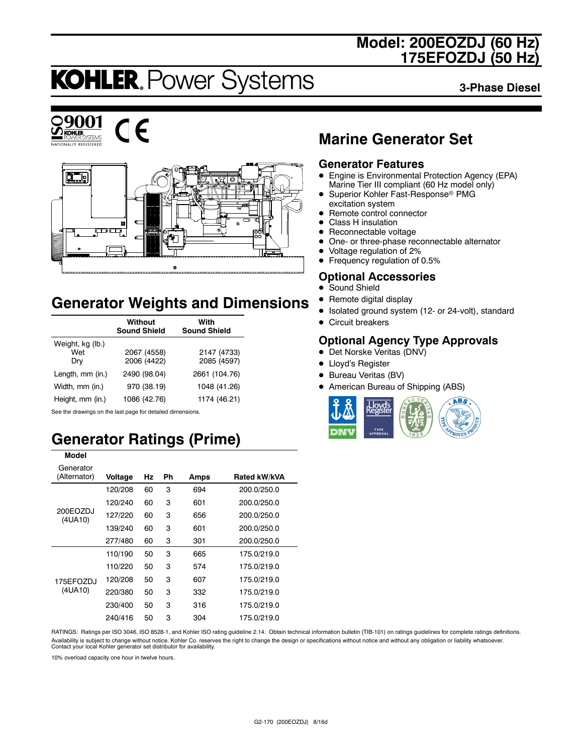### **Model: 200EOZDJ (60 Hz) 175EFOZDJ (50 Hz)**

# **KOHLER. Power Systems**

**3-Phase Diesel**







### **Generator Weights and Dimensions**

|                                | <b>Without</b><br><b>Sound Shield</b> | With<br><b>Sound Shield</b> |
|--------------------------------|---------------------------------------|-----------------------------|
| Weight, kg (lb.)<br>Wet<br>Dry | 2067 (4558)<br>2006 (4422)            | 2147 (4733)<br>2085 (4597)  |
| Length, mm (in.)               | 2490 (98.04)                          | 2661 (104.76)               |
| Width, mm (in.)                | 970 (38.19)                           | 1048 (41.26)                |
| Height, mm (in.)               | 1086 (42.76)                          | 1174 (46.21)                |

See the drawings on the last page for detailed dimensions.

**Model**

### **Generator Ratings (Prime)**

| Model                     |         |    |    |      |              |
|---------------------------|---------|----|----|------|--------------|
| Generator<br>(Alternator) | Voltage | Hz | Ph | Amps | Rated kW/kVA |
| 200EOZDJ<br>(4UA10)       | 120/208 | 60 | 3  | 694  | 200.0/250.0  |
|                           | 120/240 | 60 | 3  | 601  | 200.0/250.0  |
|                           | 127/220 | 60 | 3  | 656  | 200.0/250.0  |
|                           | 139/240 | 60 | 3  | 601  | 200.0/250.0  |
|                           | 277/480 | 60 | 3  | 301  | 200.0/250.0  |
|                           | 110/190 | 50 | 3  | 665  | 175.0/219.0  |
| 175FFO7DJ<br>(4UA10)      | 110/220 | 50 | 3  | 574  | 175.0/219.0  |
|                           | 120/208 | 50 | 3  | 607  | 175.0/219.0  |
|                           | 220/380 | 50 | 3  | 332  | 175.0/219.0  |
|                           | 230/400 | 50 | 3  | 316  | 175.0/219.0  |
|                           | 240/416 | 50 | 3  | 304  | 175.0/219.0  |

#### RATINGS: Ratings per ISO 3046, ISO 8528-1, and Kohler ISO rating guideline 2.14. Obtain technical information bulletin (TIB-101) on ratings guidelines for complete ratings definitions. Availability is subject to change without notice. Kohler Co. reserves the right to change the design or specifications without notice and without any obligation or liability whatsoever. Contact your local Kohler generator set distributor for availability.

10% overload capacity one hour in twelve hours.

### **Marine Generator Set**

#### **Generator Features**

- Engine is Environmental Protection Agency (EPA) Marine Tier III compliant (60 Hz model only)
- Superior Kohler Fast-Response<sup>®</sup> PMG excitation system
- Remote control connector
- Class H insulation
- $\bullet$  Reconnectable voltage
- One- or three-phase reconnectable alternator
- Voltage regulation of 2%
- Frequency regulation of 0.5%

#### **Optional Accessories**

- Sound Shield
- Remote digital display
- $\bullet$  Isolated ground system (12- or 24-volt), standard
- $\bullet$  Circuit breakers

#### **Optional Agency Type Approvals**

- Det Norske Veritas (DNV)
- Lloyd's Register
- Bureau Veritas (BV)
- American Bureau of Shipping (ABS)

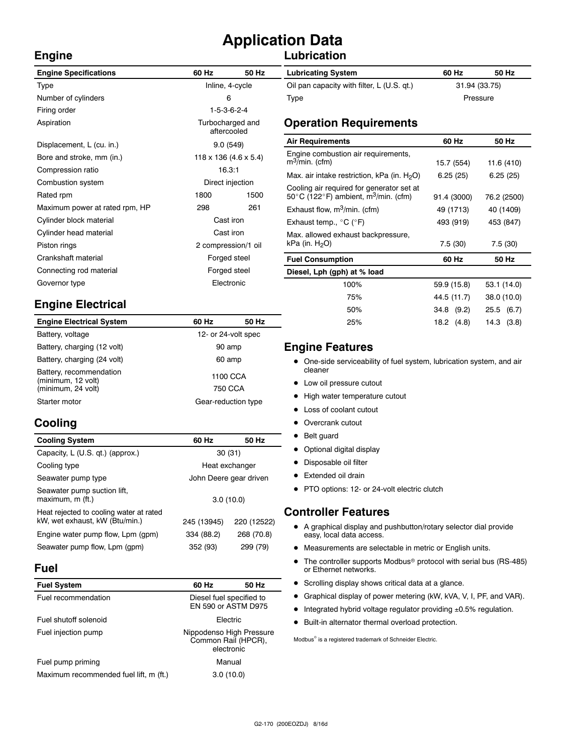## **Application Data**

#### **Lubrication**

| <b>Engine Specifications</b>   | 60 Hz               | 50 Hz                               | <b>Lubricating System</b>                                            | 60 Hz         | 50 Hz      |
|--------------------------------|---------------------|-------------------------------------|----------------------------------------------------------------------|---------------|------------|
| Type                           | Inline, 4-cycle     |                                     | Oil pan capacity with filter, L (U.S. qt.)                           | 31.94 (33.75) |            |
| Number of cylinders            | 6                   |                                     | Type                                                                 | Pressure      |            |
| Firing order                   |                     | $1-5-3-6-2-4$                       |                                                                      |               |            |
| Aspiration                     |                     | Turbocharged and<br>aftercooled     | <b>Operation Requirements</b>                                        |               |            |
| Displacement, L (cu. in.)      |                     | 9.0(549)                            | <b>Air Requirements</b>                                              | 60 Hz         | 50 Hz      |
| Bore and stroke, mm (in.)      |                     | $118 \times 136$ (4.6 $\times$ 5.4) | Engine combustion air requirements,<br>$m^3/m$ in. (cfm)             | 15.7 (554)    | 11.6 (410  |
| Compression ratio              |                     | 16.3:1                              | Max. air intake restriction, kPa (in. $H_2O$ )                       | 6.25(25)      | 6.25(25)   |
| Combustion system              |                     | Direct injection                    | Cooling air required for generator set at                            |               |            |
| Rated rpm                      | 1800                | 1500                                | 50 $\degree$ C (122 $\degree$ F) ambient, m <sup>3</sup> /min. (cfm) | 91.4 (3000)   | 76.2 (250  |
| Maximum power at rated rpm, HP | 298                 | 261                                 | Exhaust flow, $m^3/m$ in. (cfm)                                      | 49 (1713)     | 40 (1409   |
| Cylinder block material        |                     | Cast iron                           | Exhaust temp., $^{\circ}$ C ( $^{\circ}$ F)                          | 493 (919)     | 453 (847   |
| Cylinder head material         |                     | Cast iron                           | Max. allowed exhaust backpressure,                                   |               |            |
| Piston rings                   | 2 compression/1 oil |                                     | kPa (in. $H2O$ )                                                     | 7.5(30)       | 7.5(30)    |
| Crankshaft material            |                     | Forged steel                        | <b>Fuel Consumption</b>                                              | 60 Hz         | 50 Hz      |
| Connecting rod material        |                     | Forged steel                        | Diesel, Lph (gph) at % load                                          |               |            |
| Governor type                  |                     | Electronic                          | 100%                                                                 | 59.9 (15.8)   | 53.1 (14.0 |
|                                |                     |                                     | 75%                                                                  | 44.5 (11.7)   | 38.0 (10.0 |
| Engina Electrical              |                     |                                     |                                                                      |               |            |

### **Engine Electrical**

| <b>Engine Electrical System</b>                                     | 60 Hz               | 50 Hz |
|---------------------------------------------------------------------|---------------------|-------|
| Battery, voltage                                                    | 12- or 24-volt spec |       |
| Battery, charging (12 volt)                                         | 90 amp              |       |
| Battery, charging (24 volt)                                         | 60 amp              |       |
| Battery, recommendation<br>(minimum, 12 volt)<br>(minimum, 24 volt) | 1100 CCA<br>750 CCA |       |
| Starter motor                                                       | Gear-reduction type |       |

#### **Cooling**

**Engine**

| <b>Cooling System</b>                                                     | 60 Hz       | 50 Hz                  |
|---------------------------------------------------------------------------|-------------|------------------------|
| Capacity, L (U.S. qt.) (approx.)                                          | 30(31)      |                        |
| Cooling type                                                              |             | Heat exchanger         |
| Seawater pump type                                                        |             | John Deere gear driven |
| Seawater pump suction lift,<br>maximum, m (ft.)                           | 3.0(10.0)   |                        |
| Heat rejected to cooling water at rated<br>kW, wet exhaust, kW (Btu/min.) | 245 (13945) | 220 (12522)            |
| Engine water pump flow, Lpm (gpm)                                         | 334 (88.2)  | 268 (70.8)             |
| Seawater pump flow, Lpm (gpm)                                             | 352 (93)    | 299 (79)               |

#### **Fuel**

| 60 Hz                                                         | 50 Hz                                                                  |
|---------------------------------------------------------------|------------------------------------------------------------------------|
|                                                               |                                                                        |
| Flectric                                                      |                                                                        |
| Nippodenso High Pressure<br>Common Rail (HPCR),<br>electronic |                                                                        |
|                                                               |                                                                        |
|                                                               |                                                                        |
|                                                               | Diesel fuel specified to<br>EN 590 or ASTM D975<br>Manual<br>3.0(10.0) |

#### $\bullet$  One-side serviceability of fuel system, lubrication system, and air cleaner

**Engine Features**

- Low oil pressure cutout
- High water temperature cutout
- Loss of coolant cutout
- Overcrank cutout
- Belt guard
- Optional digital display
- Disposable oil filter
- Extended oil drain
- PTO options: 12- or 24-volt electric clutch

#### **Controller Features**

- A graphical display and pushbutton/rotary selector dial provide easy, local data access.
- $\bullet$  Measurements are selectable in metric or English units.
- The controller supports Modbus<sup>®</sup> protocol with serial bus (RS-485) or Ethernet networks.

50% 34.8 (9.2) 25.5 (6.7) 25% 18.2 (4.8) 14.3 (3.8)

11.6 (410) 6.25 (25)

50\_C (122\_F) ambient, m3/min. (cfm) 91.4 (3000) 76.2 (2500) 40 (1409) 453 (847)

53.1 (14.0) 38.0 (10.0)

- Scrolling display shows critical data at a glance.
- **•** Graphical display of power metering (kW, kVA, V, I, PF, and VAR).
- $\bullet$  Integrated hybrid voltage regulator providing  $\pm 0.5\%$  regulation.
- $\bullet$  Built-in alternator thermal overload protection.

 $\text{Modbus}^{\otimes}$  is a registered trademark of Schneider Electric.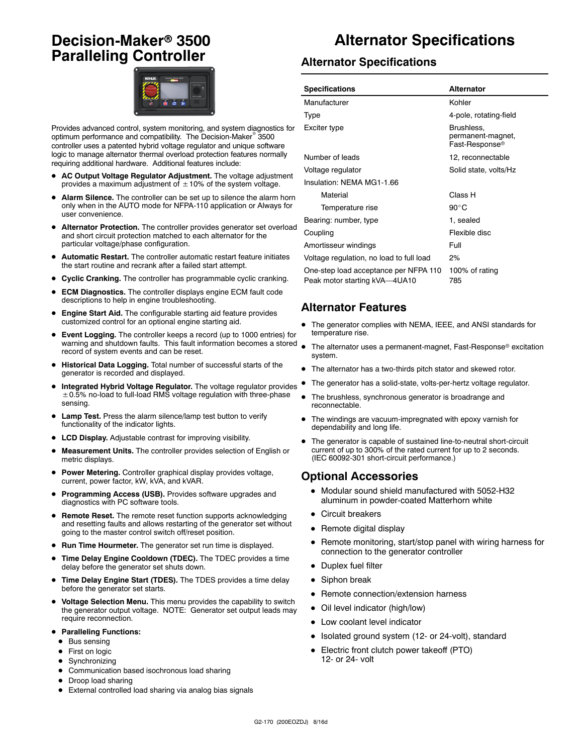### **Decision-Maker<sup>®</sup> 3500 Paralleling Controller**



Provides advanced control, system monitoring, and system diagnostics for optimum performance and compatibility. The Decision-Maker<sup>®</sup> 3500 controller uses a patented hybrid voltage regulator and unique software logic to manage alternator thermal overload protection features normally requiring additional hardware. Additional features include:

- AC Output Voltage Regulator Adjustment. The voltage adjustment provides a maximum adjustment of  $\pm$  10% of the system voltage.
- Alarm Silence. The controller can be set up to silence the alarm horn only when in the AUTO mode for NFPA-110 application or Always for user convenience.
- Alternator Protection. The controller provides generator set overload and short circuit protection matched to each alternator for the particular voltage/phase configuration.
- D **Automatic Restart.** The controller automatic restart feature initiates the start routine and recrank after a failed start attempt.
- **Cyclic Cranking.** The controller has programmable cyclic cranking.
- **ECM Diagnostics.** The controller displays engine ECM fault code descriptions to help in engine troubleshooting.
- Engine Start Aid. The configurable starting aid feature provides customized control for an optional engine starting aid.
- **Event Logging.** The controller keeps a record (up to 1000 entries) for warning and shutdown faults. This fault information becomes a stored record of system events and can be reset.
- $\bullet$  Historical Data Logging. Total number of successful starts of the generator is recorded and displayed.
- Integrated Hybrid Voltage Regulator. The voltage regulator provides  $\pm$  0.5% no-load to full-load RMS voltage regulation with three-phase sensing.
- Lamp Test. Press the alarm silence/lamp test button to verify functionality of the indicator lights.
- LCD Display. Adjustable contrast for improving visibility.
- Measurement Units. The controller provides selection of English or metric displays.
- **Power Metering.** Controller graphical display provides voltage, current, power factor, kW, kVA, and kVAR.
- Programming Access (USB). Provides software upgrades and diagnostics with PC software tools.
- **Remote Reset.** The remote reset function supports acknowledging and resetting faults and allows restarting of the generator set without going to the master control switch off/reset position.
- Run Time Hourmeter. The generator set run time is displayed.
- **Time Delay Engine Cooldown (TDEC).** The TDEC provides a time delay before the generator set shuts down.
- Time Delay Engine Start (TDES). The TDES provides a time delay before the generator set starts.
- $\bullet$  Voltage Selection Menu. This menu provides the capability to switch the generator output voltage. NOTE: Generator set output leads may require reconnection.
- **Paralleling Functions:** 
	- $\bullet$  Bus sensing
	- First on logic
	- $\bullet$  Synchronizing
- $\bullet$  Communication based isochronous load sharing
- Droop load sharing
- External controlled load sharing via analog bias signals

### **Alternator Specifications**

#### **Alternator Specifications**

| <b>Specifications</b>                                                  | Alternator                                                    |  |
|------------------------------------------------------------------------|---------------------------------------------------------------|--|
| Manufacturer                                                           | Kohler                                                        |  |
| Type                                                                   | 4-pole, rotating-field                                        |  |
| Exciter type                                                           | Brushless,<br>permanent-magnet,<br>Fast-Response <sup>®</sup> |  |
| Number of leads                                                        | 12, reconnectable                                             |  |
| Voltage regulator                                                      | Solid state, volts/Hz                                         |  |
| Insulation: NEMA MG1-1.66                                              |                                                               |  |
| Material                                                               | Class H                                                       |  |
| Temperature rise                                                       | $90^{\circ}$ C                                                |  |
| Bearing: number, type                                                  | 1, sealed                                                     |  |
| Coupling                                                               | Flexible disc                                                 |  |
| Amortisseur windings                                                   | Full                                                          |  |
| Voltage regulation, no load to full load                               | 2%                                                            |  |
| One-step load acceptance per NFPA 110<br>Peak motor starting kVA-4UA10 | 100% of rating<br>785                                         |  |

#### **Alternator Features**

- The generator complies with NEMA, IEEE, and ANSI standards for temperature rise.
- The alternator uses a permanent-magnet, Fast-Response® excitation system.
- $\bullet$  The alternator has a two-thirds pitch stator and skewed rotor.
- The generator has a solid-state, volts-per-hertz voltage regulator.
- The brushless, synchronous generator is broadrange and reconnectable.
- The windings are vacuum-impregnated with epoxy varnish for dependability and long life.
- The generator is capable of sustained line-to-neutral short-circuit current of up to 300% of the rated current for up to 2 seconds. (IEC 60092-301 short-circuit performance.)

#### **Optional Accessories**

- $\bullet$  Modular sound shield manufactured with 5052-H32 aluminum in powder-coated Matterhorn white
- Circuit breakers
- Remote digital display
- Remote monitoring, start/stop panel with wiring harness for connection to the generator controller
- Duplex fuel filter
- $\bullet$  Siphon break
- Remote connection/extension harness
- Oil level indicator (high/low)
- Low coolant level indicator
- Isolated ground system (12- or 24-volt), standard
- Electric front clutch power takeoff (PTO) 12- or 24- volt